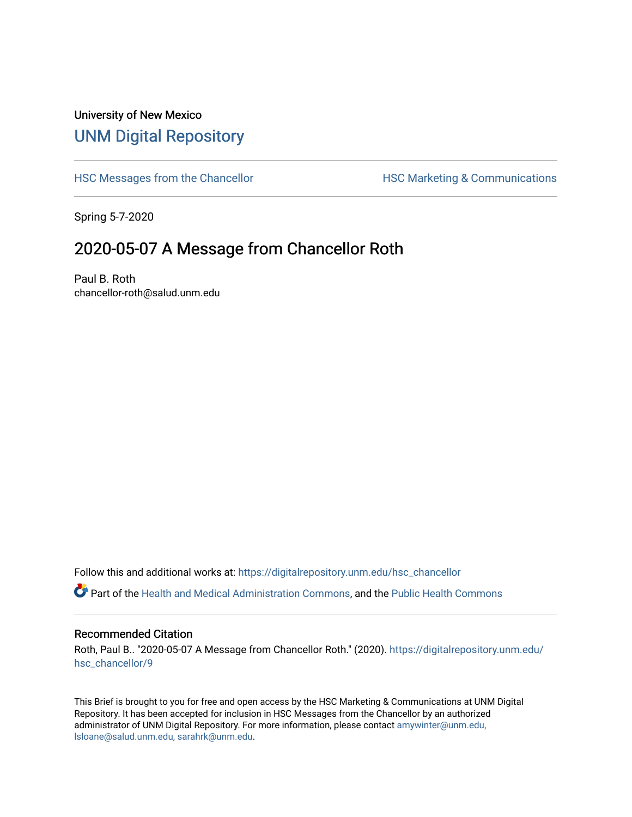## University of New Mexico [UNM Digital Repository](https://digitalrepository.unm.edu/)

[HSC Messages from the Chancellor](https://digitalrepository.unm.edu/hsc_chancellor) **HSC Marketing & Communications** 

Spring 5-7-2020

## 2020-05-07 A Message from Chancellor Roth

Paul B. Roth chancellor-roth@salud.unm.edu

Follow this and additional works at: [https://digitalrepository.unm.edu/hsc\\_chancellor](https://digitalrepository.unm.edu/hsc_chancellor?utm_source=digitalrepository.unm.edu%2Fhsc_chancellor%2F9&utm_medium=PDF&utm_campaign=PDFCoverPages) 

Part of the [Health and Medical Administration Commons](http://network.bepress.com/hgg/discipline/663?utm_source=digitalrepository.unm.edu%2Fhsc_chancellor%2F9&utm_medium=PDF&utm_campaign=PDFCoverPages), and the [Public Health Commons](http://network.bepress.com/hgg/discipline/738?utm_source=digitalrepository.unm.edu%2Fhsc_chancellor%2F9&utm_medium=PDF&utm_campaign=PDFCoverPages) 

#### Recommended Citation

Roth, Paul B.. "2020-05-07 A Message from Chancellor Roth." (2020). [https://digitalrepository.unm.edu/](https://digitalrepository.unm.edu/hsc_chancellor/9?utm_source=digitalrepository.unm.edu%2Fhsc_chancellor%2F9&utm_medium=PDF&utm_campaign=PDFCoverPages) [hsc\\_chancellor/9](https://digitalrepository.unm.edu/hsc_chancellor/9?utm_source=digitalrepository.unm.edu%2Fhsc_chancellor%2F9&utm_medium=PDF&utm_campaign=PDFCoverPages)

This Brief is brought to you for free and open access by the HSC Marketing & Communications at UNM Digital Repository. It has been accepted for inclusion in HSC Messages from the Chancellor by an authorized administrator of UNM Digital Repository. For more information, please contact [amywinter@unm.edu,](mailto:amywinter@unm.edu,%20lsloane@salud.unm.edu,%20sarahrk@unm.edu) [lsloane@salud.unm.edu, sarahrk@unm.edu.](mailto:amywinter@unm.edu,%20lsloane@salud.unm.edu,%20sarahrk@unm.edu)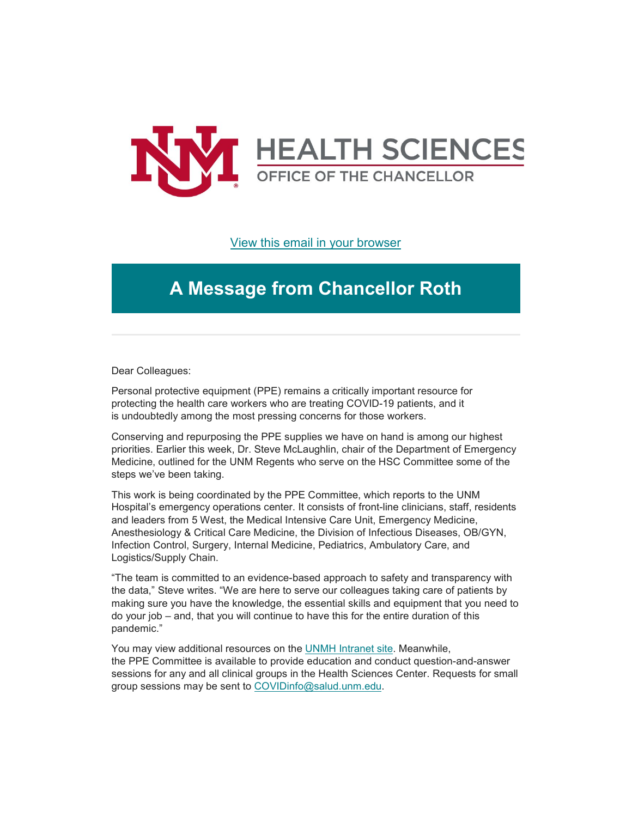

### [View this email in your browser](https://mailchi.mp/4f0af7309d92/message-from-the-chancellor-coronavirus-4409164?e=b4bbfca2c0)

# **A Message from Chancellor Roth**

Dear Colleagues:

Personal protective equipment (PPE) remains a critically important resource for protecting the health care workers who are treating COVID-19 patients, and it is undoubtedly among the most pressing concerns for those workers.

Conserving and repurposing the PPE supplies we have on hand is among our highest priorities. Earlier this week, Dr. Steve McLaughlin, chair of the Department of Emergency Medicine, outlined for the UNM Regents who serve on the HSC Committee some of the steps we've been taking.

This work is being coordinated by the PPE Committee, which reports to the UNM Hospital's emergency operations center. It consists of front-line clinicians, staff, residents and leaders from 5 West, the Medical Intensive Care Unit, Emergency Medicine, Anesthesiology & Critical Care Medicine, the Division of Infectious Diseases, OB/GYN, Infection Control, Surgery, Internal Medicine, Pediatrics, Ambulatory Care, and Logistics/Supply Chain.

"The team is committed to an evidence-based approach to safety and transparency with the data," Steve writes. "We are here to serve our colleagues taking care of patients by making sure you have the knowledge, the essential skills and equipment that you need to do your job – and, that you will continue to have this for the entire duration of this pandemic."

You may view additional resources on the [UNMH Intranet](https://hospitals.health.unm.edu/covid-ppe/) site. Meanwhile, the PPE Committee is available to provide education and conduct question-and-answer sessions for any and all clinical groups in the Health Sciences Center. Requests for small group sessions may be sent to [COVIDinfo@salud.unm.edu.](mailto:COVIDinfo@salud.unm.edu)